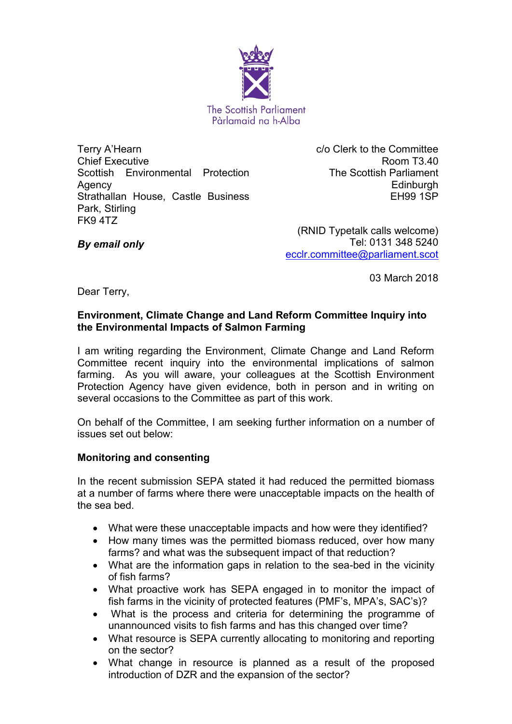

Terry A'Hearn Chief Executive Scottish Environmental Protection Agency Strathallan House, Castle Business Park, Stirling FK9 4TZ

c/o Clerk to the Committee Room T3.40 The Scottish Parliament **Edinburgh** EH99 1SP

*By email only*

(RNID Typetalk calls welcome) Tel: 0131 348 5240 [ecclr.committee@parliament.scot](mailto:ecclr.committee@parliament.scot)

03 March 2018

Dear Terry,

## **Environment, Climate Change and Land Reform Committee Inquiry into the Environmental Impacts of Salmon Farming**

I am writing regarding the Environment, Climate Change and Land Reform Committee recent inquiry into the environmental implications of salmon farming. As you will aware, your colleagues at the Scottish Environment Protection Agency have given evidence, both in person and in writing on several occasions to the Committee as part of this work.

On behalf of the Committee, I am seeking further information on a number of issues set out below:

## **Monitoring and consenting**

In the recent submission SEPA stated it had reduced the permitted biomass at a number of farms where there were unacceptable impacts on the health of the sea bed.

- What were these unacceptable impacts and how were they identified?
- How many times was the permitted biomass reduced, over how many farms? and what was the subsequent impact of that reduction?
- What are the information gaps in relation to the sea-bed in the vicinity of fish farms?
- What proactive work has SEPA engaged in to monitor the impact of fish farms in the vicinity of protected features (PMF's, MPA's, SAC's)?
- What is the process and criteria for determining the programme of unannounced visits to fish farms and has this changed over time?
- What resource is SEPA currently allocating to monitoring and reporting on the sector?
- What change in resource is planned as a result of the proposed introduction of DZR and the expansion of the sector?